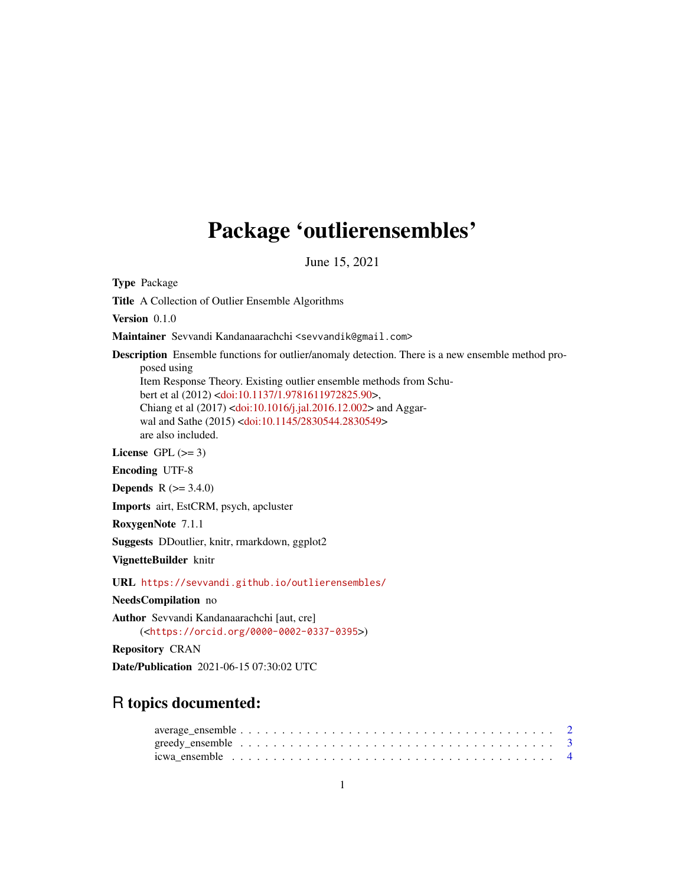# Package 'outlierensembles'

June 15, 2021

Type Package

Title A Collection of Outlier Ensemble Algorithms

Version 0.1.0

Maintainer Sevvandi Kandanaarachchi <sevvandik@gmail.com>

Description Ensemble functions for outlier/anomaly detection. There is a new ensemble method proposed using

Item Response Theory. Existing outlier ensemble methods from Schubert et al (2012) [<doi:10.1137/1.9781611972825.90>](https://doi.org/10.1137/1.9781611972825.90), Chiang et al (2017) [<doi:10.1016/j.jal.2016.12.002>](https://doi.org/10.1016/j.jal.2016.12.002) and Aggar-wal and Sathe (2015) [<doi:10.1145/2830544.2830549>](https://doi.org/10.1145/2830544.2830549) are also included.

License GPL  $(>= 3)$ 

Encoding UTF-8

**Depends** R  $(>= 3.4.0)$ 

Imports airt, EstCRM, psych, apcluster

RoxygenNote 7.1.1

Suggests DDoutlier, knitr, rmarkdown, ggplot2

VignetteBuilder knitr

URL <https://sevvandi.github.io/outlierensembles/>

NeedsCompilation no

Author Sevvandi Kandanaarachchi [aut, cre] (<<https://orcid.org/0000-0002-0337-0395>>)

Repository CRAN

Date/Publication 2021-06-15 07:30:02 UTC

# R topics documented: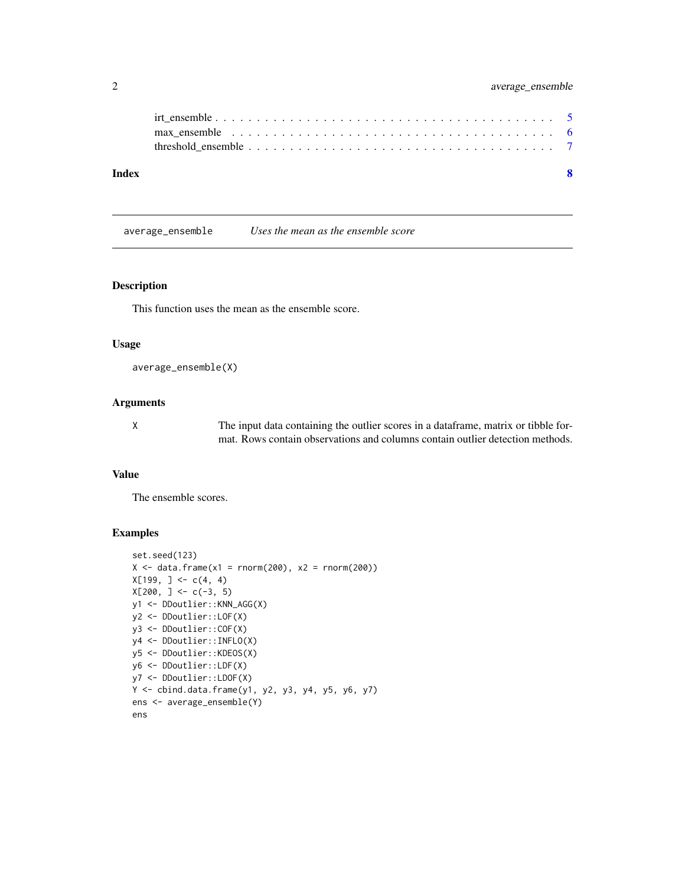<span id="page-1-0"></span>

| Index |                                                                                                           |  |
|-------|-----------------------------------------------------------------------------------------------------------|--|
|       |                                                                                                           |  |
|       | max ensemble $\ldots \ldots \ldots \ldots \ldots \ldots \ldots \ldots \ldots \ldots \ldots \ldots \ldots$ |  |
|       |                                                                                                           |  |

average\_ensemble *Uses the mean as the ensemble score*

#### Description

This function uses the mean as the ensemble score.

### Usage

```
average_ensemble(X)
```
#### Arguments

X The input data containing the outlier scores in a dataframe, matrix or tibble format. Rows contain observations and columns contain outlier detection methods.

# Value

The ensemble scores.

```
set.seed(123)
X \le - data.frame(x1 = rnorm(200), x2 = rnorm(200))
X[199, ] \leftarrow c(4, 4)X[200, ] \leq C(-3, 5)y1 <- DDoutlier::KNN_AGG(X)
y2 <- DDoutlier::LOF(X)
y3 <- DDoutlier::COF(X)
y4 <- DDoutlier::INFLO(X)
y5 <- DDoutlier::KDEOS(X)
y6 <- DDoutlier::LDF(X)
y7 <- DDoutlier::LDOF(X)
Y \le - cbind.data.frame(y1, y2, y3, y4, y5, y6, y7)
ens <- average_ensemble(Y)
ens
```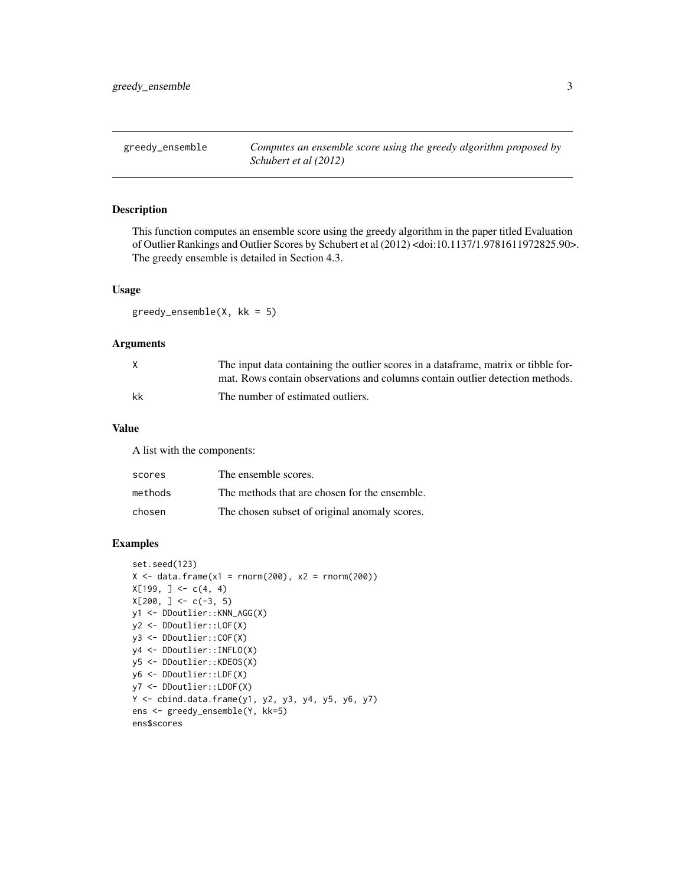<span id="page-2-0"></span>

# Description

This function computes an ensemble score using the greedy algorithm in the paper titled Evaluation of Outlier Rankings and Outlier Scores by Schubert et al (2012) <doi:10.1137/1.9781611972825.90>. The greedy ensemble is detailed in Section 4.3.

#### Usage

 $greedy\_ensemble(X, kk = 5)$ 

# Arguments

| X  | The input data containing the outlier scores in a data frame, matrix or tibble for- |
|----|-------------------------------------------------------------------------------------|
|    | mat. Rows contain observations and columns contain outlier detection methods.       |
| kk | The number of estimated outliers.                                                   |

# Value

A list with the components:

| scores  | The ensemble scores.                          |
|---------|-----------------------------------------------|
| methods | The methods that are chosen for the ensemble. |
| chosen  | The chosen subset of original anomaly scores. |

```
set.seed(123)
X \le - data.frame(x1 = rnorm(200), x2 = rnorm(200))
X[199, ] \leftarrow c(4, 4)X[200, ] \leftarrow c(-3, 5)y1 <- DDoutlier::KNN_AGG(X)
y2 <- DDoutlier::LOF(X)
y3 <- DDoutlier::COF(X)
y4 <- DDoutlier::INFLO(X)
y5 <- DDoutlier::KDEOS(X)
y6 <- DDoutlier::LDF(X)
y7 <- DDoutlier::LDOF(X)
Y <- cbind.data.frame(y1, y2, y3, y4, y5, y6, y7)
ens <- greedy_ensemble(Y, kk=5)
ens$scores
```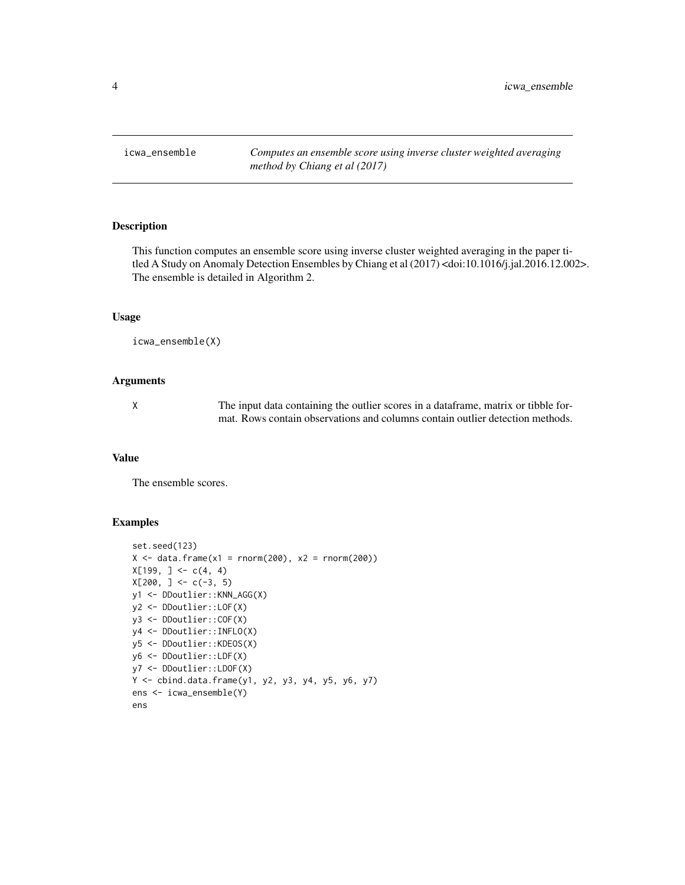<span id="page-3-0"></span>icwa\_ensemble *Computes an ensemble score using inverse cluster weighted averaging method by Chiang et al (2017)*

# Description

This function computes an ensemble score using inverse cluster weighted averaging in the paper titled A Study on Anomaly Detection Ensembles by Chiang et al (2017) <doi:10.1016/j.jal.2016.12.002>. The ensemble is detailed in Algorithm 2.

# Usage

```
icwa_ensemble(X)
```
# Arguments

X The input data containing the outlier scores in a dataframe, matrix or tibble format. Rows contain observations and columns contain outlier detection methods.

#### Value

The ensemble scores.

```
set.seed(123)
X \le - data.frame(x1 = rnorm(200), x2 = rnorm(200))
X[199, ] \leftarrow c(4, 4)X[200, ] \leq c(-3, 5)y1 <- DDoutlier::KNN_AGG(X)
y2 <- DDoutlier::LOF(X)
y3 <- DDoutlier::COF(X)
y4 <- DDoutlier::INFLO(X)
y5 <- DDoutlier::KDEOS(X)
y6 <- DDoutlier::LDF(X)
y7 <- DDoutlier::LDOF(X)
Y \le - cbind.data.frame(y1, y2, y3, y4, y5, y6, y7)
ens <- icwa_ensemble(Y)
ens
```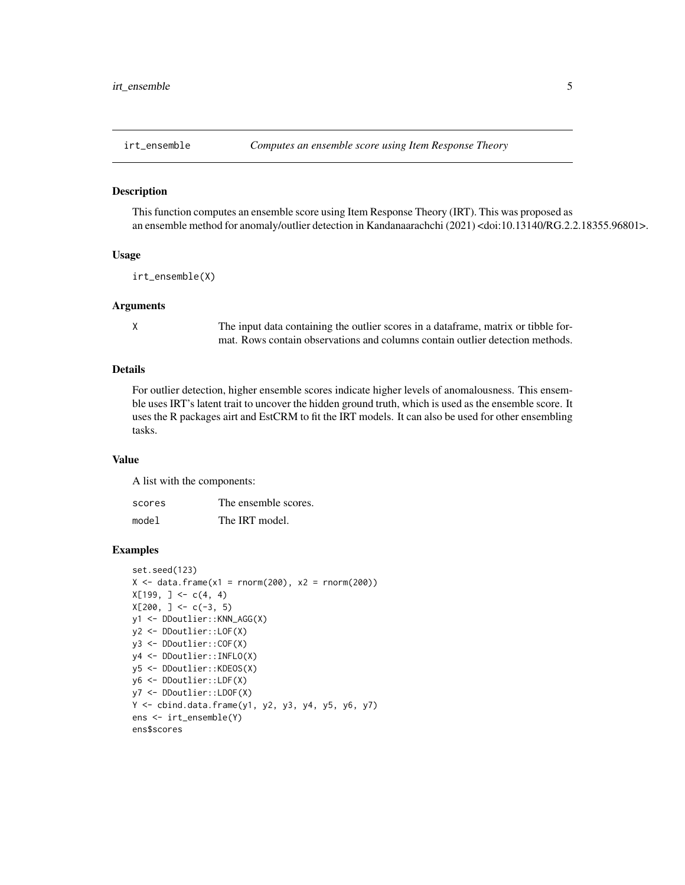<span id="page-4-0"></span>

#### Description

This function computes an ensemble score using Item Response Theory (IRT). This was proposed as an ensemble method for anomaly/outlier detection in Kandanaarachchi (2021) <doi:10.13140/RG.2.2.18355.96801>.

#### Usage

irt\_ensemble(X)

#### Arguments

X The input data containing the outlier scores in a dataframe, matrix or tibble format. Rows contain observations and columns contain outlier detection methods.

#### Details

For outlier detection, higher ensemble scores indicate higher levels of anomalousness. This ensemble uses IRT's latent trait to uncover the hidden ground truth, which is used as the ensemble score. It uses the R packages airt and EstCRM to fit the IRT models. It can also be used for other ensembling tasks.

#### Value

A list with the components:

| scores | The ensemble scores. |
|--------|----------------------|
| model  | The IRT model.       |

```
set.seed(123)
X \le - data.frame(x1 = rnorm(200), x2 = rnorm(200))
X[199, ] \leftarrow c(4, 4)X[200, ] \leq C(-3, 5)y1 <- DDoutlier::KNN_AGG(X)
y2 <- DDoutlier::LOF(X)
y3 <- DDoutlier::COF(X)
y4 <- DDoutlier::INFLO(X)
y5 <- DDoutlier::KDEOS(X)
y6 <- DDoutlier::LDF(X)
y7 <- DDoutlier::LDOF(X)
Y <- cbind.data.frame(y1, y2, y3, y4, y5, y6, y7)
ens <- irt_ensemble(Y)
ens$scores
```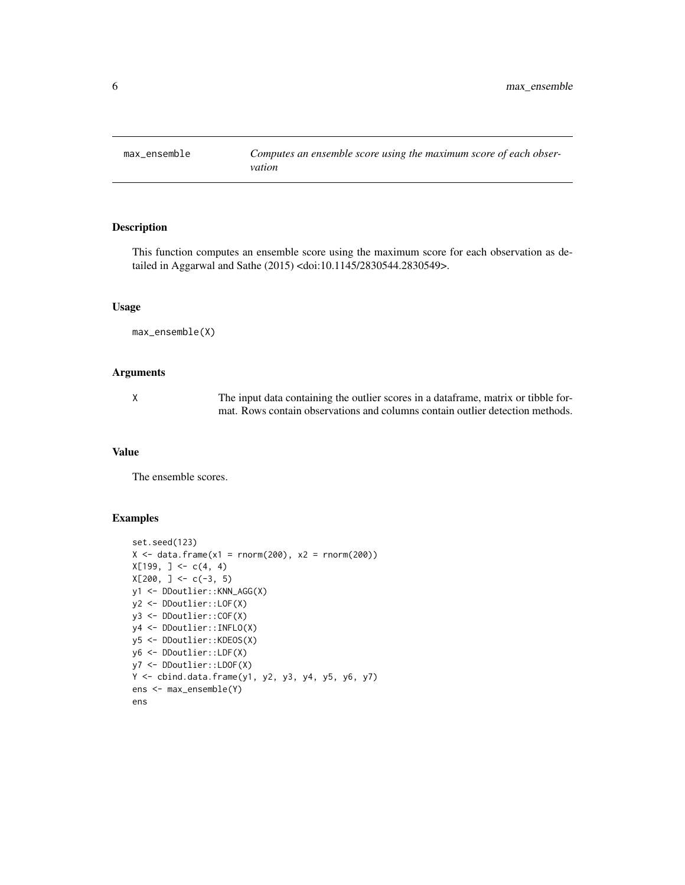<span id="page-5-0"></span>

# Description

This function computes an ensemble score using the maximum score for each observation as detailed in Aggarwal and Sathe (2015) <doi:10.1145/2830544.2830549>.

#### Usage

```
max_ensemble(X)
```
#### Arguments

X The input data containing the outlier scores in a dataframe, matrix or tibble format. Rows contain observations and columns contain outlier detection methods.

#### Value

The ensemble scores.

```
set.seed(123)
X \le - data.frame(x1 = rnorm(200), x2 = rnorm(200))
X[199, ] \leftarrow c(4, 4)X[200, ] \leftarrow c(-3, 5)y1 <- DDoutlier::KNN_AGG(X)
y2 <- DDoutlier::LOF(X)
y3 <- DDoutlier::COF(X)
y4 <- DDoutlier::INFLO(X)
y5 <- DDoutlier::KDEOS(X)
y6 <- DDoutlier::LDF(X)
y7 <- DDoutlier::LDOF(X)
Y <- cbind.data.frame(y1, y2, y3, y4, y5, y6, y7)
ens <- max_ensemble(Y)
ens
```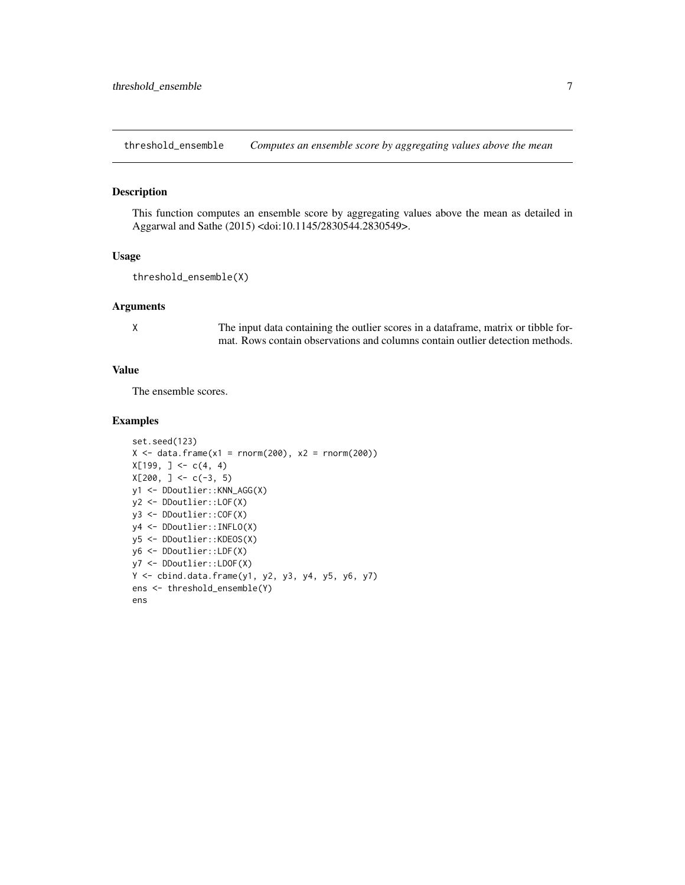<span id="page-6-0"></span>threshold\_ensemble *Computes an ensemble score by aggregating values above the mean*

#### Description

This function computes an ensemble score by aggregating values above the mean as detailed in Aggarwal and Sathe (2015) <doi:10.1145/2830544.2830549>.

#### Usage

```
threshold_ensemble(X)
```
# Arguments

X The input data containing the outlier scores in a dataframe, matrix or tibble format. Rows contain observations and columns contain outlier detection methods.

# Value

The ensemble scores.

```
set.seed(123)
X \le - data.frame(x1 = rnorm(200), x2 = rnorm(200))
X[199, ] \leftarrow c(4, 4)X[200, ] \leq C(-3, 5)y1 <- DDoutlier::KNN_AGG(X)
y2 <- DDoutlier::LOF(X)
y3 <- DDoutlier::COF(X)
y4 <- DDoutlier::INFLO(X)
y5 <- DDoutlier::KDEOS(X)
y6 <- DDoutlier::LDF(X)
y7 <- DDoutlier::LDOF(X)
Y <- cbind.data.frame(y1, y2, y3, y4, y5, y6, y7)
ens <- threshold_ensemble(Y)
ens
```